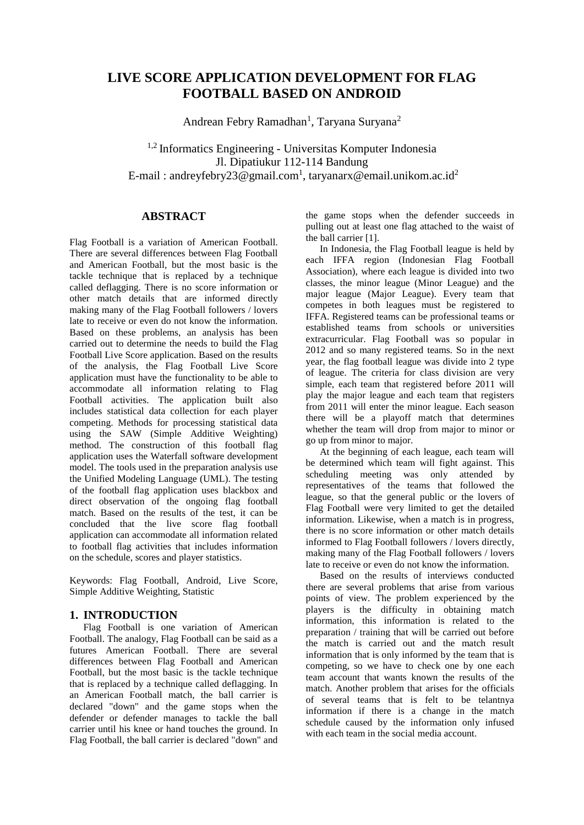# **LIVE SCORE APPLICATION DEVELOPMENT FOR FLAG FOOTBALL BASED ON ANDROID**

Andrean Febry Ramadhan<sup>1</sup>, Taryana Suryana<sup>2</sup>

1,2 Informatics Engineering - Universitas Komputer Indonesia Jl. Dipatiukur 112-114 Bandung E-mail : andreyfebry23@gmail.com<sup>1</sup>, taryanarx@email.unikom.ac.id<sup>2</sup>

# **ABSTRACT**

Flag Football is a variation of American Football. There are several differences between Flag Football and American Football, but the most basic is the tackle technique that is replaced by a technique called deflagging. There is no score information or other match details that are informed directly making many of the Flag Football followers / lovers late to receive or even do not know the information. Based on these problems, an analysis has been carried out to determine the needs to build the Flag Football Live Score application. Based on the results of the analysis, the Flag Football Live Score application must have the functionality to be able to accommodate all information relating to Flag Football activities. The application built also includes statistical data collection for each player competing. Methods for processing statistical data using the SAW (Simple Additive Weighting) method. The construction of this football flag application uses the Waterfall software development model. The tools used in the preparation analysis use the Unified Modeling Language (UML). The testing of the football flag application uses blackbox and direct observation of the ongoing flag football match. Based on the results of the test, it can be concluded that the live score flag football application can accommodate all information related to football flag activities that includes information on the schedule, scores and player statistics.

Keywords: Flag Football, Android, Live Score, Simple Additive Weighting, Statistic

# **1. INTRODUCTION**

Flag Football is one variation of American Football. The analogy, Flag Football can be said as a futures American Football. There are several differences between Flag Football and American Football, but the most basic is the tackle technique that is replaced by a technique called deflagging. In an American Football match, the ball carrier is declared "down" and the game stops when the defender or defender manages to tackle the ball carrier until his knee or hand touches the ground. In Flag Football, the ball carrier is declared "down" and the game stops when the defender succeeds in pulling out at least one flag attached to the waist of the ball carrier [1].

In Indonesia, the Flag Football league is held by each IFFA region (Indonesian Flag Football Association), where each league is divided into two classes, the minor league (Minor League) and the major league (Major League). Every team that competes in both leagues must be registered to IFFA. Registered teams can be professional teams or established teams from schools or universities extracurricular. Flag Football was so popular in 2012 and so many registered teams. So in the next year, the flag football league was divide into 2 type of league. The criteria for class division are very simple, each team that registered before 2011 will play the major league and each team that registers from 2011 will enter the minor league. Each season there will be a playoff match that determines whether the team will drop from major to minor or go up from minor to major.

At the beginning of each league, each team will be determined which team will fight against. This scheduling meeting was only attended by representatives of the teams that followed the league, so that the general public or the lovers of Flag Football were very limited to get the detailed information. Likewise, when a match is in progress, there is no score information or other match details informed to Flag Football followers / lovers directly, making many of the Flag Football followers / lovers late to receive or even do not know the information.

Based on the results of interviews conducted there are several problems that arise from various points of view. The problem experienced by the players is the difficulty in obtaining match information, this information is related to the preparation / training that will be carried out before the match is carried out and the match result information that is only informed by the team that is competing, so we have to check one by one each team account that wants known the results of the match. Another problem that arises for the officials of several teams that is felt to be telantnya information if there is a change in the match schedule caused by the information only infused with each team in the social media account.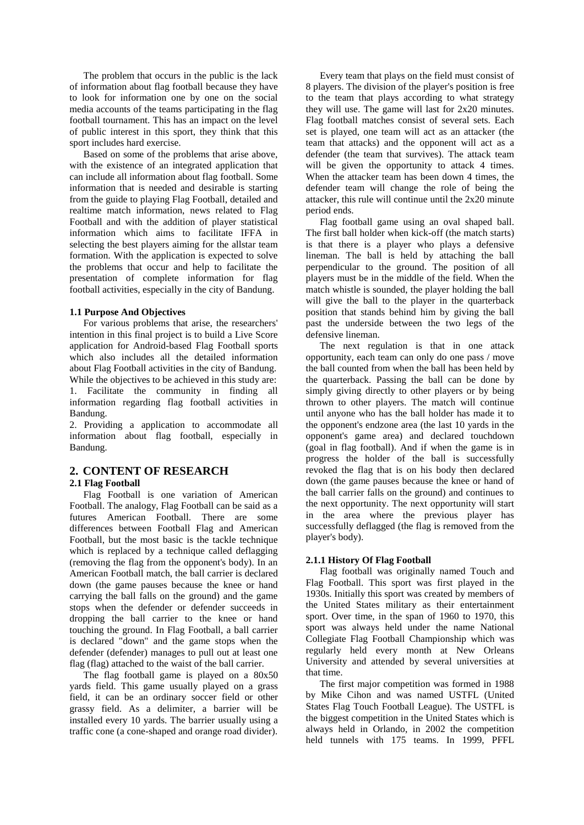The problem that occurs in the public is the lack of information about flag football because they have to look for information one by one on the social media accounts of the teams participating in the flag football tournament. This has an impact on the level of public interest in this sport, they think that this sport includes hard exercise.

Based on some of the problems that arise above, with the existence of an integrated application that can include all information about flag football. Some information that is needed and desirable is starting from the guide to playing Flag Football, detailed and realtime match information, news related to Flag Football and with the addition of player statistical information which aims to facilitate IFFA in selecting the best players aiming for the allstar team formation. With the application is expected to solve the problems that occur and help to facilitate the presentation of complete information for flag football activities, especially in the city of Bandung.

### **1.1 Purpose And Objectives**

For various problems that arise, the researchers' intention in this final project is to build a Live Score application for Android-based Flag Football sports which also includes all the detailed information about Flag Football activities in the city of Bandung. While the objectives to be achieved in this study are: 1. Facilitate the community in finding all information regarding flag football activities in Bandung.

2. Providing a application to accommodate all information about flag football, especially in Bandung.

# **2. CONTENT OF RESEARCH 2.1 Flag Football**

Flag Football is one variation of American Football. The analogy, Flag Football can be said as a futures American Football. There are some differences between Football Flag and American Football, but the most basic is the tackle technique which is replaced by a technique called deflagging (removing the flag from the opponent's body). In an American Football match, the ball carrier is declared down (the game pauses because the knee or hand carrying the ball falls on the ground) and the game stops when the defender or defender succeeds in dropping the ball carrier to the knee or hand touching the ground. In Flag Football, a ball carrier is declared "down" and the game stops when the defender (defender) manages to pull out at least one flag (flag) attached to the waist of the ball carrier.

The flag football game is played on a  $80x50$ yards field. This game usually played on a grass field, it can be an ordinary soccer field or other grassy field. As a delimiter, a barrier will be installed every 10 yards. The barrier usually using a traffic cone (a cone-shaped and orange road divider).

Every team that plays on the field must consist of 8 players. The division of the player's position is free to the team that plays according to what strategy they will use. The game will last for 2x20 minutes. Flag football matches consist of several sets. Each set is played, one team will act as an attacker (the team that attacks) and the opponent will act as a defender (the team that survives). The attack team will be given the opportunity to attack 4 times. When the attacker team has been down 4 times, the defender team will change the role of being the attacker, this rule will continue until the 2x20 minute period ends.

Flag football game using an oval shaped ball. The first ball holder when kick-off (the match starts) is that there is a player who plays a defensive lineman. The ball is held by attaching the ball perpendicular to the ground. The position of all players must be in the middle of the field. When the match whistle is sounded, the player holding the ball will give the ball to the player in the quarterback position that stands behind him by giving the ball past the underside between the two legs of the defensive lineman.

The next regulation is that in one attack opportunity, each team can only do one pass / move the ball counted from when the ball has been held by the quarterback. Passing the ball can be done by simply giving directly to other players or by being thrown to other players. The match will continue until anyone who has the ball holder has made it to the opponent's endzone area (the last 10 yards in the opponent's game area) and declared touchdown (goal in flag football). And if when the game is in progress the holder of the ball is successfully revoked the flag that is on his body then declared down (the game pauses because the knee or hand of the ball carrier falls on the ground) and continues to the next opportunity. The next opportunity will start in the area where the previous player has successfully deflagged (the flag is removed from the player's body).

### **2.1.1 History Of Flag Football**

Flag football was originally named Touch and Flag Football. This sport was first played in the 1930s. Initially this sport was created by members of the United States military as their entertainment sport. Over time, in the span of 1960 to 1970, this sport was always held under the name National Collegiate Flag Football Championship which was regularly held every month at New Orleans University and attended by several universities at that time.

The first major competition was formed in 1988 by Mike Cihon and was named USTFL (United States Flag Touch Football League). The USTFL is the biggest competition in the United States which is always held in Orlando, in 2002 the competition held tunnels with 175 teams. In 1999, PFFL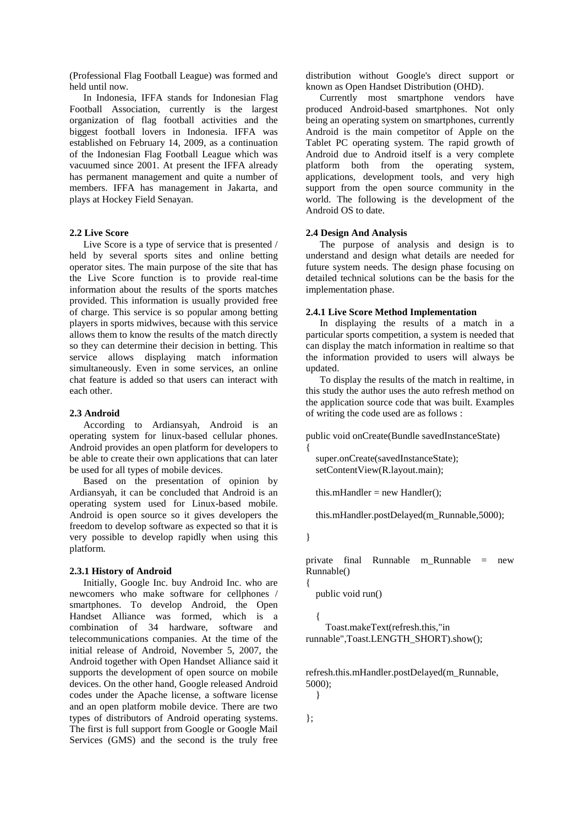(Professional Flag Football League) was formed and held until now.

In Indonesia, IFFA stands for Indonesian Flag Football Association, currently is the largest organization of flag football activities and the biggest football lovers in Indonesia. IFFA was established on February 14, 2009, as a continuation of the Indonesian Flag Football League which was vacuumed since 2001. At present the IFFA already has permanent management and quite a number of members. IFFA has management in Jakarta, and plays at Hockey Field Senayan.

# **2.2 Live Score**

Live Score is a type of service that is presented / held by several sports sites and online betting operator sites. The main purpose of the site that has the Live Score function is to provide real-time information about the results of the sports matches provided. This information is usually provided free of charge. This service is so popular among betting players in sports midwives, because with this service allows them to know the results of the match directly so they can determine their decision in betting. This service allows displaying match information simultaneously. Even in some services, an online chat feature is added so that users can interact with each other.

### **2.3 Android**

According to Ardiansyah, Android is an operating system for linux-based cellular phones. Android provides an open platform for developers to be able to create their own applications that can later be used for all types of mobile devices.

Based on the presentation of opinion by Ardiansyah, it can be concluded that Android is an operating system used for Linux-based mobile. Android is open source so it gives developers the freedom to develop software as expected so that it is very possible to develop rapidly when using this platform.

### **2.3.1 History of Android**

Initially, Google Inc. buy Android Inc. who are newcomers who make software for cellphones / smartphones. To develop Android, the Open Handset Alliance was formed, which is a combination of 34 hardware, software and telecommunications companies. At the time of the initial release of Android, November 5, 2007, the Android together with Open Handset Alliance said it supports the development of open source on mobile devices. On the other hand, Google released Android codes under the Apache license, a software license and an open platform mobile device. There are two types of distributors of Android operating systems. The first is full support from Google or Google Mail Services (GMS) and the second is the truly free distribution without Google's direct support or known as Open Handset Distribution (OHD).

Currently most smartphone vendors have produced Android-based smartphones. Not only being an operating system on smartphones, currently Android is the main competitor of Apple on the Tablet PC operating system. The rapid growth of Android due to Android itself is a very complete platform both from the operating system, applications, development tools, and very high support from the open source community in the world. The following is the development of the Android OS to date.

# **2.4 Design And Analysis**

The purpose of analysis and design is to understand and design what details are needed for future system needs. The design phase focusing on detailed technical solutions can be the basis for the implementation phase.

# **2.4.1 Live Score Method Implementation**

In displaying the results of a match in a particular sports competition, a system is needed that can display the match information in realtime so that the information provided to users will always be updated.

To display the results of the match in realtime, in this study the author uses the auto refresh method on the application source code that was built. Examples of writing the code used are as follows :

```
public void onCreate(Bundle savedInstanceState) 
{
```

```
 super.onCreate(savedInstanceState);
 setContentView(R.layout.main);
```
this.mHandler = new Handler();

this.mHandler.postDelayed(m\_Runnable,5000);

}

{

private final Runnable m\_Runnable = new Runnable()

```
 public void run()
```
 { Toast.makeText(refresh.this,"in runnable",Toast.LENGTH\_SHORT).show();

refresh.this.mHandler.postDelayed(m\_Runnable, 5000);

}

};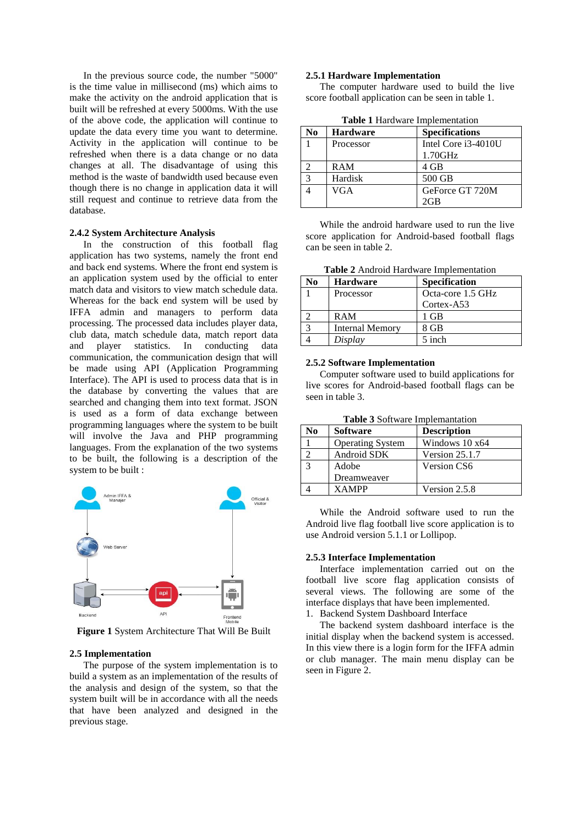In the previous source code, the number "5000" is the time value in millisecond (ms) which aims to make the activity on the android application that is built will be refreshed at every 5000ms. With the use of the above code, the application will continue to update the data every time you want to determine. Activity in the application will continue to be refreshed when there is a data change or no data changes at all. The disadvantage of using this method is the waste of bandwidth used because even though there is no change in application data it will still request and continue to retrieve data from the database.

#### **2.4.2 System Architecture Analysis**

In the construction of this football flag application has two systems, namely the front end and back end systems. Where the front end system is an application system used by the official to enter match data and visitors to view match schedule data. Whereas for the back end system will be used by IFFA admin and managers to perform data processing. The processed data includes player data, club data, match schedule data, match report data and player statistics. In conducting data communication, the communication design that will be made using API (Application Programming Interface). The API is used to process data that is in the database by converting the values that are searched and changing them into text format. JSON is used as a form of data exchange between programming languages where the system to be built will involve the Java and PHP programming languages. From the explanation of the two systems to be built, the following is a description of the system to be built :



**Figure 1** System Architecture That Will Be Built

### **2.5 Implementation**

The purpose of the system implementation is to build a system as an implementation of the results of the analysis and design of the system, so that the system built will be in accordance with all the needs that have been analyzed and designed in the previous stage.

#### **2.5.1 Hardware Implementation**

The computer hardware used to build the live score football application can be seen in table 1.

| No | <b>Hardware</b> | <b>Specifications</b> |
|----|-----------------|-----------------------|
|    | Processor       | Intel Core i3-4010U   |
|    |                 | 1.70GHz               |
|    | <b>RAM</b>      | 4 GB                  |
|    | Hardisk         | 500 GB                |
|    | VGA             | GeForce GT 720M       |
|    |                 | 2GB                   |

**Table 1** Hardware Implementation

While the android hardware used to run the live score application for Android-based football flags can be seen in table 2.

**Table 2** Android Hardware Implementation

| No | <b>Hardware</b>        | <b>Specification</b> |
|----|------------------------|----------------------|
|    | Processor              | Octa-core 1.5 GHz    |
|    |                        | Cortex-A53           |
|    | <b>RAM</b>             | 1 GB                 |
|    | <b>Internal Memory</b> | 8 GB                 |
|    | Display                | 5 inch               |

### **2.5.2 Software Implementation**

Computer software used to build applications for live scores for Android-based football flags can be seen in table 3.

|  |  | Table 3 Software Implemantation |
|--|--|---------------------------------|
|--|--|---------------------------------|

| No | <b>Software</b>         | <b>Description</b> |
|----|-------------------------|--------------------|
|    | <b>Operating System</b> | Windows 10 x64     |
|    | Android SDK             | Version 25.1.7     |
|    | Adobe                   | Version CS6        |
|    | Dreamweaver             |                    |
|    | <b>XAMPP</b>            | Version 2.5.8      |

While the Android software used to run the Android live flag football live score application is to use Android version 5.1.1 or Lollipop.

#### **2.5.3 Interface Implementation**

Interface implementation carried out on the football live score flag application consists of several views. The following are some of the interface displays that have been implemented. 1. Backend System Dashboard Interface

The backend system dashboard interface is the initial display when the backend system is accessed. In this view there is a login form for the IFFA admin or club manager. The main menu display can be seen in Figure 2.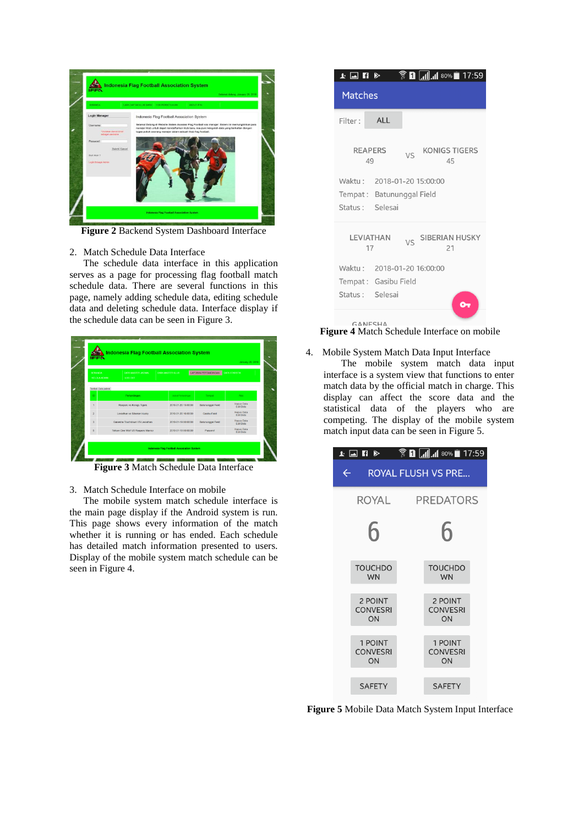

**Figure 2** Backend System Dashboard Interface

# 2. Match Schedule Data Interface

The schedule data interface in this application serves as a page for processing flag football match schedule data. There are several functions in this page, namely adding schedule data, editing schedule data and deleting schedule data. Interface display if the schedule data can be seen in Figure 3.



**Figure 3** Match Schedule Data Interface

3. Match Schedule Interface on mobile

The mobile system match schedule interface is the main page display if the Android system is run. This page shows every information of the match whether it is running or has ended. Each schedule has detailed match information presented to users. Display of the mobile system match schedule can be seen in Figure 4.



**Figure 4** Match Schedule Interface on mobile

# 4. Mobile System Match Data Input Interface

The mobile system match data input interface is a system view that functions to enter match data by the official match in charge. This display can affect the score data and the statistical data of the players who are competing. The display of the mobile system match input data can be seen in Figure 5.



**Figure 5** Mobile Data Match System Input Interface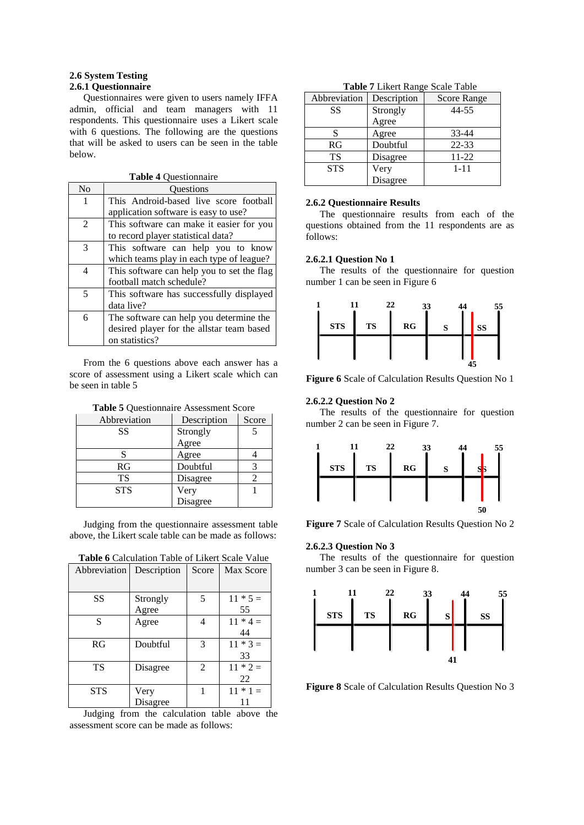### **2.6 System Testing 2.6.1 Questionnaire**

Questionnaires were given to users namely IFFA admin, official and team managers with 11 respondents. This questionnaire uses a Likert scale with 6 questions. The following are the questions that will be asked to users can be seen in the table below.

**Table 4** Questionnaire

| N <sub>0</sub> | <b>Ouestions</b>                           |
|----------------|--------------------------------------------|
| 1              | This Android-based live score football     |
|                | application software is easy to use?       |
| 2              | This software can make it easier for you   |
|                | to record player statistical data?         |
| 3              | This software can help you to know         |
|                | which teams play in each type of league?   |
| 4              | This software can help you to set the flag |
|                | football match schedule?                   |
| 5              | This software has successfully displayed   |
|                | data live?                                 |
| 6              | The software can help you determine the    |
|                | desired player for the allstar team based  |
|                | on statistics?                             |

From the 6 questions above each answer has a score of assessment using a Likert scale which can be seen in table 5

**Table 5** Questionnaire Assessment Score

| Abbreviation | Description | Score |
|--------------|-------------|-------|
| SS           | Strongly    |       |
|              | Agree       |       |
| S            | Agree       |       |
| RG           | Doubtful    |       |
| TS           | Disagree    |       |
| <b>STS</b>   | Very        |       |
|              | Disagree    |       |

Judging from the questionnaire assessment table above, the Likert scale table can be made as follows:

| Abbreviation | Description       | Score | Max Score        |
|--------------|-------------------|-------|------------------|
| SS           | Strongly<br>Agree | 5     | $11 * 5 =$<br>55 |
| S            | Agree             | 4     | $11 * 4 =$<br>44 |
| RG           | Doubtful          | 3     | $11 * 3 =$<br>33 |
| TS           | Disagree          | 2     | $11 * 2 =$<br>22 |
| <b>STS</b>   | Very<br>Disagree  |       | $11 * 1 =$       |

**Table 6** Calculation Table of Likert Scale Value

Judging from the calculation table above the assessment score can be made as follows:

| Abbreviation | Description | Score Range |
|--------------|-------------|-------------|
| SS           | Strongly    | 44-55       |
|              | Agree       |             |
| S            | Agree       | 33-44       |
| RG           | Doubtful    | $22 - 33$   |
| <b>TS</b>    | Disagree    | $11 - 22$   |
| <b>STS</b>   | Very        | $1 - 11$    |
|              | Disagree    |             |

**Table 7** Likert Range Scale Table

#### **2.6.2 Questionnaire Results**

The questionnaire results from each of the questions obtained from the 11 respondents are as follows:

### **2.6.2.1 Question No 1**

The results of the questionnaire for question number 1 can be seen in Figure 6



**Figure 6** Scale of Calculation Results Question No 1

### **2.6.2.2 Question No 2**

The results of the questionnaire for question number 2 can be seen in Figure 7.



**Figure 7** Scale of Calculation Results Question No 2

### **2.6.2.3 Question No 3**

The results of the questionnaire for question number 3 can be seen in Figure 8.



**Figure 8** Scale of Calculation Results Question No 3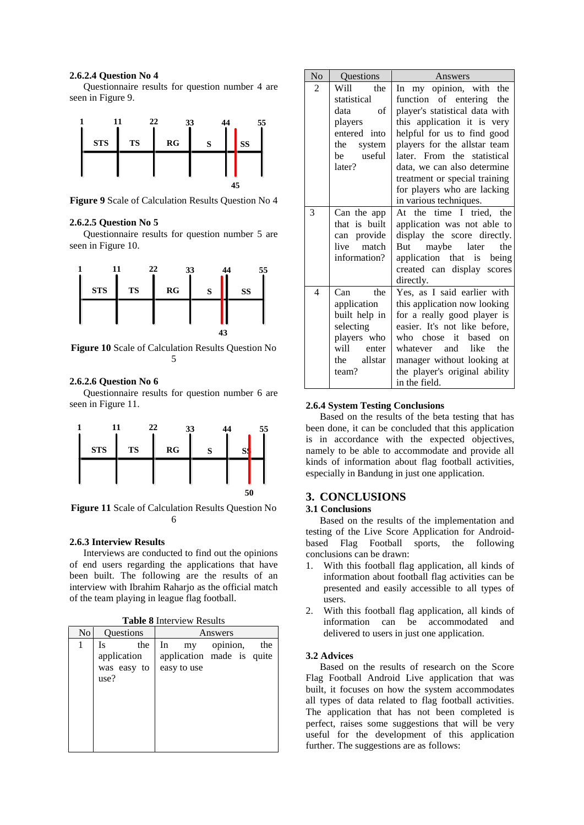### **2.6.2.4 Question No 4**

Questionnaire results for question number 4 are seen in Figure 9.



**Figure 9** Scale of Calculation Results Question No 4

### **2.6.2.5 Question No 5**

Questionnaire results for question number 5 are seen in Figure 10.



**Figure 10** Scale of Calculation Results Question No 5

# **2.6.2.6 Question No 6**

Questionnaire results for question number 6 are seen in Figure 11.



**Figure 11** Scale of Calculation Results Question No 6

# **2.6.3 Interview Results**

Interviews are conducted to find out the opinions of end users regarding the applications that have been built. The following are the results of an interview with Ibrahim Raharjo as the official match of the team playing in league flag football.

|  |  | <b>Table 8 Interview Results</b> |  |
|--|--|----------------------------------|--|
|--|--|----------------------------------|--|

| No |      | Questions   |    |                           | Answers  |     |
|----|------|-------------|----|---------------------------|----------|-----|
| 1  | Is   | the         | In | my                        | opinion, | the |
|    |      | application |    | application made is quite |          |     |
|    |      | was easy to |    | easy to use               |          |     |
|    | use? |             |    |                           |          |     |
|    |      |             |    |                           |          |     |
|    |      |             |    |                           |          |     |
|    |      |             |    |                           |          |     |
|    |      |             |    |                           |          |     |
|    |      |             |    |                           |          |     |
|    |      |             |    |                           |          |     |

| No | Questions     | Answers                        |
|----|---------------|--------------------------------|
| 2  | Will<br>the   | my opinion, with the<br>In     |
|    | statistical   | function of entering the       |
|    | data<br>οf    | player's statistical data with |
|    | players       | this application it is very    |
|    | entered into  | helpful for us to find good    |
|    | the<br>system | players for the allstar team   |
|    | useful<br>be  | later. From the statistical    |
|    | later?        | data, we can also determine    |
|    |               | treatment or special training  |
|    |               | for players who are lacking    |
|    |               | in various techniques.         |
| 3  | Can the app   | At the time I tried, the       |
|    | that is built | application was not able to    |
|    | can provide   | display the score directly.    |
|    | live<br>match | But maybe later the            |
|    | information?  | application that is being      |
|    |               | created can display scores     |
|    |               | directly.                      |
| 4  | $Can$ the     | Yes, as I said earlier with    |
|    | application   | this application now looking   |
|    | built help in | for a really good player is    |
|    | selecting     | easier. It's not like before,  |
|    | players who   | who chose it based<br>on       |
|    | will enter    | like the<br>whatever and       |
|    | the allstar   | manager without looking at     |
|    | team?         | the player's original ability  |
|    |               | in the field.                  |

### **2.6.4 System Testing Conclusions**

Based on the results of the beta testing that has been done, it can be concluded that this application is in accordance with the expected objectives, namely to be able to accommodate and provide all kinds of information about flag football activities, especially in Bandung in just one application.

# **3. CONCLUSIONS**

# **3.1 Conclusions**

Based on the results of the implementation and testing of the Live Score Application for Androidbased Flag Football sports, the following conclusions can be drawn:

- 1. With this football flag application, all kinds of information about football flag activities can be presented and easily accessible to all types of users.
- 2. With this football flag application, all kinds of information can be accommodated and delivered to users in just one application.

### **3.2 Advices**

Based on the results of research on the Score Flag Football Android Live application that was built, it focuses on how the system accommodates all types of data related to flag football activities. The application that has not been completed is perfect, raises some suggestions that will be very useful for the development of this application further. The suggestions are as follows: